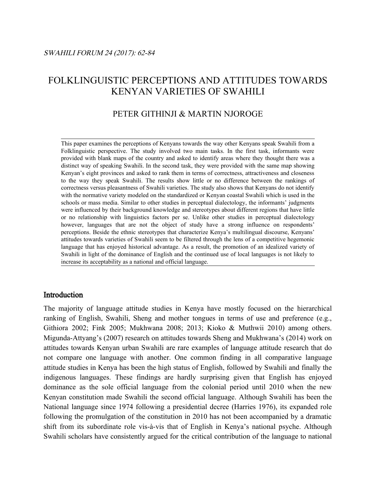# FOLKLINGUISTIC PERCEPTIONS AND ATTITUDES TOWARDS KENYAN VARIETIES OF SWAHILI

# PETER GITHINJI & MARTIN NJOROGE

This paper examines the perceptions of Kenyans towards the way other Kenyans speak Swahili from a Folklinguistic perspective. The study involved two main tasks. In the first task, informants were provided with blank maps of the country and asked to identify areas where they thought there was a distinct way of speaking Swahili. In the second task, they were provided with the same map showing Kenyan's eight provinces and asked to rank them in terms of correctness, attractiveness and closeness to the way they speak Swahili. The results show little or no difference between the rankings of correctness versus pleasantness of Swahili varieties. The study also shows that Kenyans do not identify with the normative variety modeled on the standardized or Kenyan coastal Swahili which is used in the schools or mass media. Similar to other studies in perceptual dialectology, the informants' judgments were influenced by their background knowledge and stereotypes about different regions that have little or no relationship with linguistics factors per se. Unlike other studies in perceptual dialectology however, languages that are not the object of study have a strong influence on respondents' perceptions. Beside the ethnic stereotypes that characterize Kenya's multilingual discourse, Kenyans' attitudes towards varieties of Swahili seem to be filtered through the lens of a competitive hegemonic language that has enjoyed historical advantage. As a result, the promotion of an idealized variety of Swahili in light of the dominance of English and the continued use of local languages is not likely to increase its acceptability as a national and official language.

# Introduction

The majority of language attitude studies in Kenya have mostly focused on the hierarchical ranking of English, Swahili, Sheng and mother tongues in terms of use and preference (e.g., Githiora 2002; Fink 2005; Mukhwana 2008; 2013; Kioko & Muthwii 2010) among others. Migunda-Attyang's (2007) research on attitudes towards Sheng and Mukhwana's (2014) work on attitudes towards Kenyan urban Swahili are rare examples of language attitude research that do not compare one language with another. One common finding in all comparative language attitude studies in Kenya has been the high status of English, followed by Swahili and finally the indigenous languages. These findings are hardly surprising given that English has enjoyed dominance as the sole official language from the colonial period until 2010 when the new Kenyan constitution made Swahili the second official language. Although Swahili has been the National language since 1974 following a presidential decree (Harries 1976), its expanded role following the promulgation of the constitution in 2010 has not been accompanied by a dramatic shift from its subordinate role vis-à-vis that of English in Kenya's national psyche. Although Swahili scholars have consistently argued for the critical contribution of the language to national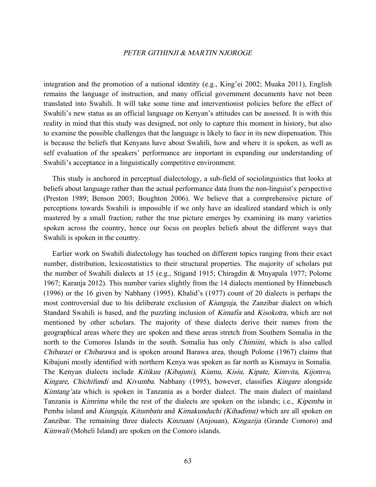integration and the promotion of a national identity (e.g., King'ei 2002; Muaka 2011), English remains the language of instruction, and many official government documents have not been translated into Swahili. It will take some time and interventionist policies before the effect of Swahili's new status as an official language on Kenyan's attitudes can be assessed. It is with this reality in mind that this study was designed, not only to capture this moment in history, but also to examine the possible challenges that the language is likely to face in its new dispensation. This is because the beliefs that Kenyans have about Swahili, how and where it is spoken, as well as self evaluation of the speakers' performance are important in expanding our understanding of Swahili's acceptance in a linguistically competitive environment.

This study is anchored in perceptual dialectology, a sub-field of sociolinguistics that looks at beliefs about language rather than the actual performance data from the non-linguist's perspective (Preston 1989; Benson 2003; Boughton 2006). We believe that a comprehensive picture of perceptions towards Swahili is impossible if we only have an idealized standard which is only mastered by a small fraction; rather the true picture emerges by examining its many varieties spoken across the country, hence our focus on peoples beliefs about the different ways that Swahili is spoken in the country.

Earlier work on Swahili dialectology has touched on different topics ranging from their exact number, distribution, lexicostatistics to their structural properties. The majority of scholars put the number of Swahili dialects at 15 (e.g., Stigand 1915; Chiragdin & Mnyapala 1977; Polome 1967; Karanja 2012). This number varies slightly from the 14 dialects mentioned by Hinnebusch (1996) or the 16 given by Nabhany (1995). Khalid's (1977) count of 20 dialects is perhaps the most controversial due to his deliberate exclusion of *Kiunguja*, the Zanzibar dialect on which Standard Swahili is based, and the puzzling inclusion of Kimafia and Kisokotra, which are not mentioned by other scholars. The majority of these dialects derive their names from the geographical areas where they are spoken and these areas stretch from Southern Somalia in the north to the Comoros Islands in the south. Somalia has only *Chimiini*, which is also called Chibarazi or Chibarawa and is spoken around Barawa area, though Polome (1967) claims that Kibajuni mostly identified with northern Kenya was spoken as far north as Kismayu in Somalia. The Kenyan dialects include Kitikuu (Kibajuni), Kiamu, Kisiu, Kipate, Kimvita, Kijomvu, Kingare, Chichifundi and Kivumba. Nabhany (1995), however, classifies Kingare alongside Kimtang'ata which is spoken in Tanzania as a border dialect. The main dialect of mainland Tanzania is Kimrima while the rest of the dialects are spoken on the islands; i.e., Kipemba in Pemba island and Kiunguja, Kitumbatu and Kimakunduchi (Kihadimu) which are all spoken on Zanzibar. The remaining three dialects *Kinzuani* (Anjouan), *Kingazija* (Grande Comoro) and Kimwali (Moheli Island) are spoken on the Comoro islands.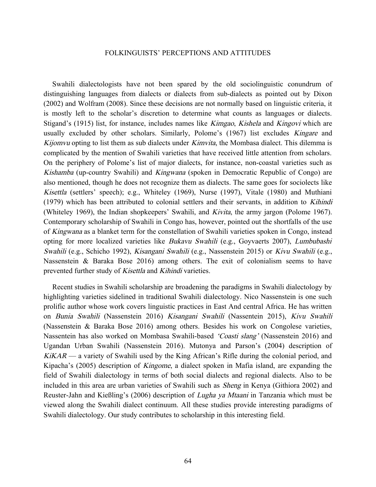Swahili dialectologists have not been spared by the old sociolinguistic conundrum of distinguishing languages from dialects or dialects from sub-dialects as pointed out by Dixon (2002) and Wolfram (2008). Since these decisions are not normally based on linguistic criteria, it is mostly left to the scholar's discretion to determine what counts as languages or dialects. Stigand's (1915) list, for instance, includes names like *Kimgao, Kishela* and *Kingovi* which are usually excluded by other scholars. Similarly, Polome's (1967) list excludes Kingare and Kijomvu opting to list them as sub dialects under *Kimvita*, the Mombasa dialect. This dilemma is complicated by the mention of Swahili varieties that have received little attention from scholars. On the periphery of Polome's list of major dialects, for instance, non-coastal varieties such as Kishamba (up-country Swahili) and Kingwana (spoken in Democratic Republic of Congo) are also mentioned, though he does not recognize them as dialects. The same goes for sociolects like Kisettla (settlers' speech); e.g., Whiteley (1969), Nurse (1997), Vitale (1980) and Muthiani (1979) which has been attributed to colonial settlers and their servants, in addition to Kihindi (Whiteley 1969), the Indian shopkeepers' Swahili, and Kivita, the army jargon (Polome 1967). Contemporary scholarship of Swahili in Congo has, however, pointed out the shortfalls of the use of Kingwana as a blanket term for the constellation of Swahili varieties spoken in Congo, instead opting for more localized varieties like *Bukavu Swahili* (e.g., Goyvaerts 2007), *Lumbubashi* Swahili (e.g., Schicho 1992), Kisangani Swahili (e.g., Nassenstein 2015) or Kivu Swahili (e.g., Nassenstein & Baraka Bose 2016) among others. The exit of colonialism seems to have prevented further study of Kisettla and Kihindi varieties.

Recent studies in Swahili scholarship are broadening the paradigms in Swahili dialectology by highlighting varieties sidelined in traditional Swahili dialectology. Nico Nassenstein is one such prolific author whose work covers linguistic practices in East And central Africa. He has written on Bunia Swahili (Nassenstein 2016) Kisangani Swahili (Nassentein 2015), Kivu Swahili (Nassenstein & Baraka Bose 2016) among others. Besides his work on Congolese varieties, Nassentein has also worked on Mombasa Swahili-based 'Coasti slang' (Nassenstein 2016) and Ugandan Urban Swahili (Nassenstein 2016). Mutonya and Parson's (2004) description of  $KiKAR$  — a variety of Swahili used by the King African's Rifle during the colonial period, and Kipacha's (2005) description of Kingome, a dialect spoken in Mafia island, are expanding the field of Swahili dialectology in terms of both social dialects and regional dialects. Also to be included in this area are urban varieties of Swahili such as Sheng in Kenya (Githiora 2002) and Reuster-Jahn and Kießling's (2006) description of *Lugha ya Mtaani* in Tanzania which must be viewed along the Swahili dialect continuum. All these studies provide interesting paradigms of Swahili dialectology. Our study contributes to scholarship in this interesting field.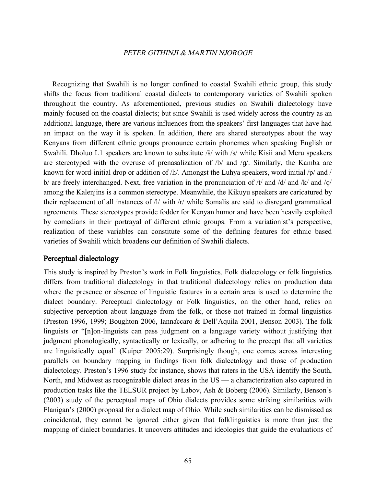Recognizing that Swahili is no longer confined to coastal Swahili ethnic group, this study shifts the focus from traditional coastal dialects to contemporary varieties of Swahili spoken throughout the country. As aforementioned, previous studies on Swahili dialectology have mainly focused on the coastal dialects; but since Swahili is used widely across the country as an additional language, there are various influences from the speakers' first languages that have had an impact on the way it is spoken. In addition, there are shared stereotypes about the way Kenyans from different ethnic groups pronounce certain phonemes when speaking English or Swahili. Dholuo L1 speakers are known to substitute /š/ with /s/ while Kisii and Meru speakers are stereotyped with the overuse of prenasalization of  $/b/$  and  $/q/$ . Similarly, the Kamba are known for word-initial drop or addition of /h/. Amongst the Luhya speakers, word initial /p/ and / b/ are freely interchanged. Next, free variation in the pronunciation of /t/ and /d/ and /k/ and /g/ among the Kalenjins is a common stereotype. Meanwhile, the Kikuyu speakers are caricatured by their replacement of all instances of /l/ with /r/ while Somalis are said to disregard grammatical agreements. These stereotypes provide fodder for Kenyan humor and have been heavily exploited by comedians in their portrayal of different ethnic groups. From a variationist's perspective, realization of these variables can constitute some of the defining features for ethnic based varieties of Swahili which broadens our definition of Swahili dialects.

# Perceptual dialectology

This study is inspired by Preston's work in Folk linguistics. Folk dialectology or folk linguistics differs from traditional dialectology in that traditional dialectology relies on production data where the presence or absence of linguistic features in a certain area is used to determine the dialect boundary. Perceptual dialectology or Folk linguistics, on the other hand, relies on subjective perception about language from the folk, or those not trained in formal linguistics (Preston 1996, 1999; Boughton 2006, Iannaccaro & Dell'Aquila 2001, Benson 2003). The folk linguists or "[n]on-linguists can pass judgment on a language variety without justifying that judgment phonologically, syntactically or lexically, or adhering to the precept that all varieties are linguistically equal' (Kuiper 2005:29). Surprisingly though, one comes across interesting parallels on boundary mapping in findings from folk dialectology and those of production dialectology. Preston's 1996 study for instance, shows that raters in the USA identify the South, North, and Midwest as recognizable dialect areas in the US — a characterization also captured in production tasks like the TELSUR project by Labov, Ash & Boberg (2006). Similarly, Benson's (2003) study of the perceptual maps of Ohio dialects provides some striking similarities with Flanigan's (2000) proposal for a dialect map of Ohio. While such similarities can be dismissed as coincidental, they cannot be ignored either given that folklinguistics is more than just the mapping of dialect boundaries. It uncovers attitudes and ideologies that guide the evaluations of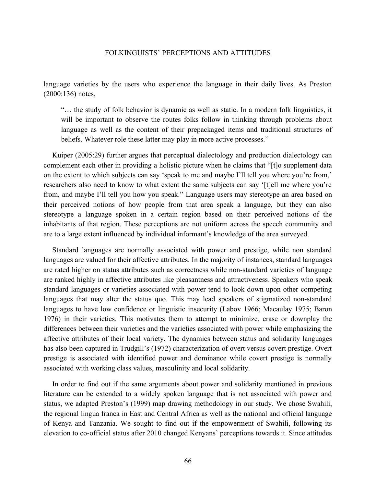language varieties by the users who experience the language in their daily lives. As Preston (2000:136) notes,

"… the study of folk behavior is dynamic as well as static. In a modern folk linguistics, it will be important to observe the routes folks follow in thinking through problems about language as well as the content of their prepackaged items and traditional structures of beliefs. Whatever role these latter may play in more active processes."

Kuiper (2005:29) further argues that perceptual dialectology and production dialectology can complement each other in providing a holistic picture when he claims that "[t]o supplement data on the extent to which subjects can say 'speak to me and maybe I'll tell you where you're from,' researchers also need to know to what extent the same subjects can say '[t]ell me where you're from, and maybe I'll tell you how you speak." Language users may stereotype an area based on their perceived notions of how people from that area speak a language, but they can also stereotype a language spoken in a certain region based on their perceived notions of the inhabitants of that region. These perceptions are not uniform across the speech community and are to a large extent influenced by individual informant's knowledge of the area surveyed.

Standard languages are normally associated with power and prestige, while non standard languages are valued for their affective attributes. In the majority of instances, standard languages are rated higher on status attributes such as correctness while non-standard varieties of language are ranked highly in affective attributes like pleasantness and attractiveness. Speakers who speak standard languages or varieties associated with power tend to look down upon other competing languages that may alter the status quo. This may lead speakers of stigmatized non-standard languages to have low confidence or linguistic insecurity (Labov 1966; Macaulay 1975; Baron 1976) in their varieties. This motivates them to attempt to minimize, erase or downplay the differences between their varieties and the varieties associated with power while emphasizing the affective attributes of their local variety. The dynamics between status and solidarity languages has also been captured in Trudgill's (1972) characterization of overt versus covert prestige. Overt prestige is associated with identified power and dominance while covert prestige is normally associated with working class values, masculinity and local solidarity.

In order to find out if the same arguments about power and solidarity mentioned in previous literature can be extended to a widely spoken language that is not associated with power and status, we adapted Preston's (1999) map drawing methodology in our study. We chose Swahili, the regional lingua franca in East and Central Africa as well as the national and official language of Kenya and Tanzania. We sought to find out if the empowerment of Swahili, following its elevation to co-official status after 2010 changed Kenyans' perceptions towards it. Since attitudes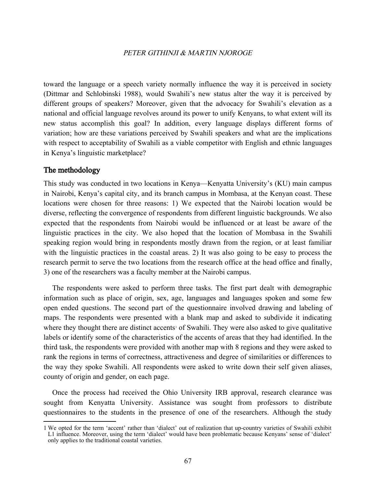toward the language or a speech variety normally influence the way it is perceived in society (Dittmar and Schlobinski 1988), would Swahili's new status alter the way it is perceived by different groups of speakers? Moreover, given that the advocacy for Swahili's elevation as a national and official language revolves around its power to unify Kenyans, to what extent will its new status accomplish this goal? In addition, every language displays different forms of variation; how are these variations perceived by Swahili speakers and what are the implications with respect to acceptability of Swahili as a viable competitor with English and ethnic languages in Kenya's linguistic marketplace?

# The methodology

This study was conducted in two locations in Kenya—Kenyatta University's (KU) main campus in Nairobi, Kenya's capital city, and its branch campus in Mombasa, at the Kenyan coast. These locations were chosen for three reasons: 1) We expected that the Nairobi location would be diverse, reflecting the convergence of respondents from different linguistic backgrounds. We also expected that the respondents from Nairobi would be influenced or at least be aware of the linguistic practices in the city. We also hoped that the location of Mombasa in the Swahili speaking region would bring in respondents mostly drawn from the region, or at least familiar with the linguistic practices in the coastal areas. 2) It was also going to be easy to process the research permit to serve the two locations from the research office at the head office and finally, 3) one of the researchers was a faculty member at the Nairobi campus.

The respondents were asked to perform three tasks. The first part dealt with demographic information such as place of origin, sex, age, languages and languages spoken and some few open ended questions. The second part of the questionnaire involved drawing and labeling of maps. The respondents were presented with a blank map and asked to subdivide it indicating wherethey thought there are distinct accents<sup>1</sup> of Swahili. They were also asked to give qualitative labels or identify some of the characteristics of the accents of areas that they had identified. In the third task, the respondents were provided with another map with 8 regions and they were asked to rank the regions in terms of correctness, attractiveness and degree of similarities or differences to the way they spoke Swahili. All respondents were asked to write down their self given aliases, county of origin and gender, on each page.

Once the process had received the Ohio University IRB approval, research clearance was sought from Kenyatta University. Assistance was sought from professors to distribute questionnaires to the students in the presence of one of the researchers. Although the study

<span id="page-5-0"></span><sup>1</sup> We opted for the term 'accent' rather than 'dialect' out of realization that up-country varieties of Swahili exhibit L1 influence. Moreover, using the term 'dialect' would have been problematic because Kenyans' sense of 'dialect' only applies to the traditional coastal varieties.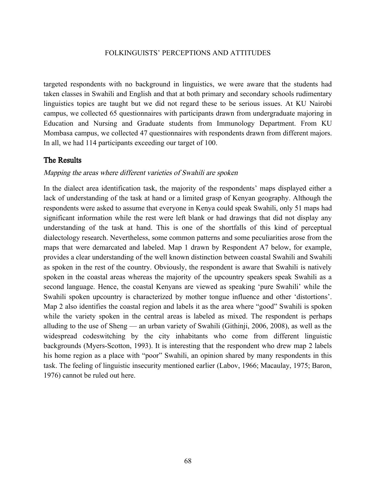targeted respondents with no background in linguistics, we were aware that the students had taken classes in Swahili and English and that at both primary and secondary schools rudimentary linguistics topics are taught but we did not regard these to be serious issues. At KU Nairobi campus, we collected 65 questionnaires with participants drawn from undergraduate majoring in Education and Nursing and Graduate students from Immunology Department. From KU Mombasa campus, we collected 47 questionnaires with respondents drawn from different majors. In all, we had 114 participants exceeding our target of 100.

# The Results

### Mapping the areas where different varieties of Swahili are spoken

In the dialect area identification task, the majority of the respondents' maps displayed either a lack of understanding of the task at hand or a limited grasp of Kenyan geography. Although the respondents were asked to assume that everyone in Kenya could speak Swahili, only 51 maps had significant information while the rest were left blank or had drawings that did not display any understanding of the task at hand. This is one of the shortfalls of this kind of perceptual dialectology research. Nevertheless, some common patterns and some peculiarities arose from the maps that were demarcated and labeled. Map 1 drawn by Respondent A7 below, for example, provides a clear understanding of the well known distinction between coastal Swahili and Swahili as spoken in the rest of the country. Obviously, the respondent is aware that Swahili is natively spoken in the coastal areas whereas the majority of the upcountry speakers speak Swahili as a second language. Hence, the coastal Kenyans are viewed as speaking 'pure Swahili' while the Swahili spoken upcountry is characterized by mother tongue influence and other 'distortions'. Map 2 also identifies the coastal region and labels it as the area where "good" Swahili is spoken while the variety spoken in the central areas is labeled as mixed. The respondent is perhaps alluding to the use of Sheng — an urban variety of Swahili (Githinji, 2006, 2008), as well as the widespread codeswitching by the city inhabitants who come from different linguistic backgrounds (Myers-Scotton, 1993). It is interesting that the respondent who drew map 2 labels his home region as a place with "poor" Swahili, an opinion shared by many respondents in this task. The feeling of linguistic insecurity mentioned earlier (Labov, 1966; Macaulay, 1975; Baron, 1976) cannot be ruled out here.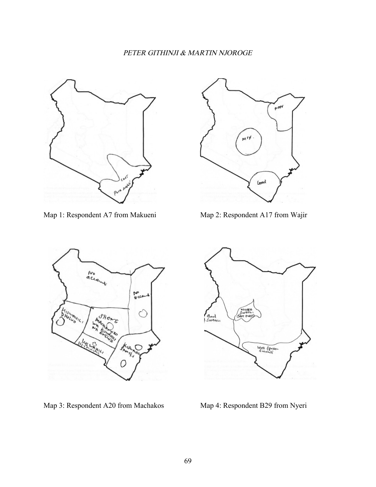

Map 1: Respondent A7 from Makueni Map 2: Respondent A17 from Wajir





Map 3: Respondent A20 from Machakos Map 4: Respondent B29 from Nyeri

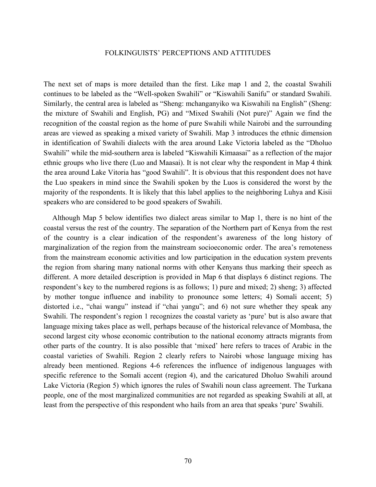The next set of maps is more detailed than the first. Like map 1 and 2, the coastal Swahili continues to be labeled as the "Well-spoken Swahili" or "Kiswahili Sanifu" or standard Swahili. Similarly, the central area is labeled as "Sheng: mchanganyiko wa Kiswahili na English" (Sheng: the mixture of Swahili and English, PG) and "Mixed Swahili (Not pure)" Again we find the recognition of the coastal region as the home of pure Swahili while Nairobi and the surrounding areas are viewed as speaking a mixed variety of Swahili. Map 3 introduces the ethnic dimension in identification of Swahili dialects with the area around Lake Victoria labeled as the "Dholuo Swahili" while the mid-southern area is labeled "Kiswahili Kimaasai" as a reflection of the major ethnic groups who live there (Luo and Maasai). It is not clear why the respondent in Map 4 think the area around Lake Vitoria has "good Swahili". It is obvious that this respondent does not have the Luo speakers in mind since the Swahili spoken by the Luos is considered the worst by the majority of the respondents. It is likely that this label applies to the neighboring Luhya and Kisii speakers who are considered to be good speakers of Swahili.

Although Map 5 below identifies two dialect areas similar to Map 1, there is no hint of the coastal versus the rest of the country. The separation of the Northern part of Kenya from the rest of the country is a clear indication of the respondent's awareness of the long history of marginalization of the region from the mainstream socioeconomic order. The area's remoteness from the mainstream economic activities and low participation in the education system prevents the region from sharing many national norms with other Kenyans thus marking their speech as different. A more detailed description is provided in Map 6 that displays 6 distinct regions. The respondent's key to the numbered regions is as follows; 1) pure and mixed; 2) sheng; 3) affected by mother tongue influence and inability to pronounce some letters; 4) Somali accent; 5) distorted i.e., "chai wangu" instead if "chai yangu"; and 6) not sure whether they speak any Swahili. The respondent's region 1 recognizes the coastal variety as 'pure' but is also aware that language mixing takes place as well, perhaps because of the historical relevance of Mombasa, the second largest city whose economic contribution to the national economy attracts migrants from other parts of the country. It is also possible that 'mixed' here refers to traces of Arabic in the coastal varieties of Swahili. Region 2 clearly refers to Nairobi whose language mixing has already been mentioned. Regions 4-6 references the influence of indigenous languages with specific reference to the Somali accent (region 4), and the caricatured Dholuo Swahili around Lake Victoria (Region 5) which ignores the rules of Swahili noun class agreement. The Turkana people, one of the most marginalized communities are not regarded as speaking Swahili at all, at least from the perspective of this respondent who hails from an area that speaks 'pure' Swahili.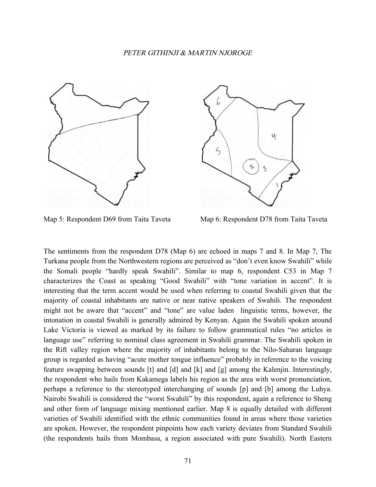



Map 5: Respondent D69 from Taita Taveta Map 6: Respondent D78 from Taita Taveta

The sentiments from the respondent D78 (Map 6) are echoed in maps 7 and 8. In Map 7, The Turkana people from the Northwestern regions are perceived as "don't even know Swahili" while the Somali people "hardly speak Swahili". Similar to map 6, respondent C53 in Map 7 characterizes the Coast as speaking "Good Swahili" with "tone variation in accent". It is interesting that the term accent would be used when referring to coastal Swahili given that the majority of coastal inhabitants are native or near native speakers of Swahili. The respondent might not be aware that "accent" and "tone" are value laden linguistic terms, however, the intonation in coastal Swahili is generally admired by Kenyan. Again the Swahili spoken around Lake Victoria is viewed as marked by its failure to follow grammatical rules "no articles in language use" referring to nominal class agreement in Swahili grammar. The Swahili spoken in the Rift valley region where the majority of inhabitants belong to the Nilo-Saharan language group is regarded as having "acute mother tongue influence" probably in reference to the voicing feature swapping between sounds [t] and [d] and [k] and [g] among the Kalenjin. Interestingly, the respondent who hails from Kakamega labels his region as the area with worst pronunciation, perhaps a reference to the stereotyped interchanging of sounds [p] and [b] among the Luhya. Nairobi Swahili is considered the "worst Swahili" by this respondent, again a reference to Sheng and other form of language mixing mentioned earlier. Map 8 is equally detailed with different varieties of Swahili identified with the ethnic communities found in areas where those varieties are spoken. However, the respondent pinpoints how each variety deviates from Standard Swahili (the respondents hails from Mombasa, a region associated with pure Swahili). North Eastern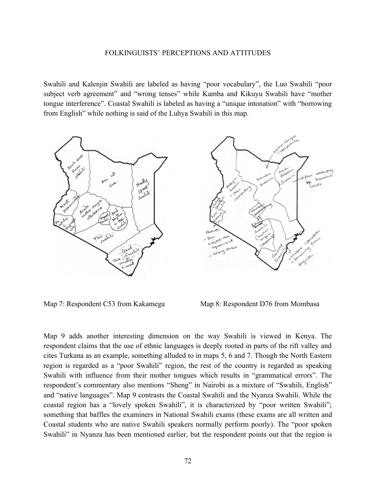Swahili and Kalenjin Swahili are labeled as having "poor vocabulary", the Luo Swahili "poor subject verb agreement" and "wrong tenses" while Kamba and Kikuyu Swahili have "mother tongue interference". Coastal Swahili is labeled as having a "unique intonation" with "borrowing from English" while nothing is said of the Luhya Swahili in this map.



Map 7: Respondent C53 from Kakamega Map 8: Respondent D76 from Mombasa

Map 9 adds another interesting dimension on the way Swahili is viewed in Kenya. The respondent claims that the use of ethnic languages is deeply rooted in parts of the rift valley and cites Turkana as an example, something alluded to in maps 5, 6 and 7. Though the North Eastern region is regarded as a "poor Swahili" region, the rest of the country is regarded as speaking Swahili with influence from their mother tongues which results in "grammatical errors". The respondent's commentary also mentions "Sheng" in Nairobi as a mixture of "Swahili, English" and "native languages". Map 9 contrasts the Coastal Swahili and the Nyanza Swahili. While the coastal region has a "lovely spoken Swahili", it is characterized by "poor written Swahili"; something that baffles the examiners in National Swahili exams (these exams are all written and Coastal students who are native Swahili speakers normally perform poorly). The "poor spoken Swahili" in Nyanza has been mentioned earlier, but the respondent points out that the region is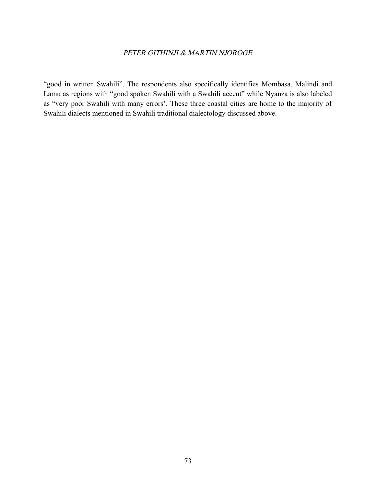"good in written Swahili". The respondents also specifically identifies Mombasa, Malindi and Lamu as regions with "good spoken Swahili with a Swahili accent" while Nyanza is also labeled as "very poor Swahili with many errors'. These three coastal cities are home to the majority of Swahili dialects mentioned in Swahili traditional dialectology discussed above.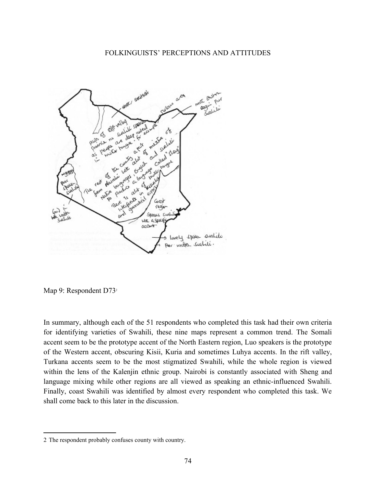

Map 9: Respondent D73<sup>[2](#page-12-0)</sup>

In summary, although each of the 51 respondents who completed this task had their own criteria for identifying varieties of Swahili, these nine maps represent a common trend. The Somali accent seem to be the prototype accent of the North Eastern region, Luo speakers is the prototype of the Western accent, obscuring Kisii, Kuria and sometimes Luhya accents. In the rift valley, Turkana accents seem to be the most stigmatized Swahili, while the whole region is viewed within the lens of the Kalenjin ethnic group. Nairobi is constantly associated with Sheng and language mixing while other regions are all viewed as speaking an ethnic-influenced Swahili. Finally, coast Swahili was identified by almost every respondent who completed this task. We shall come back to this later in the discussion.

<span id="page-12-0"></span><sup>2</sup> The respondent probably confuses county with country.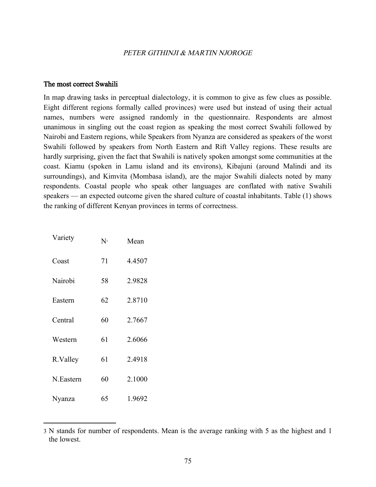### The most correct Swahili

In map drawing tasks in perceptual dialectology, it is common to give as few clues as possible. Eight different regions formally called provinces) were used but instead of using their actual names, numbers were assigned randomly in the questionnaire. Respondents are almost unanimous in singling out the coast region as speaking the most correct Swahili followed by Nairobi and Eastern regions, while Speakers from Nyanza are considered as speakers of the worst Swahili followed by speakers from North Eastern and Rift Valley regions. These results are hardly surprising, given the fact that Swahili is natively spoken amongst some communities at the coast. Kiamu (spoken in Lamu island and its environs), Kibajuni (around Malindi and its surroundings), and Kimvita (Mombasa island), are the major Swahili dialects noted by many respondents. Coastal people who speak other languages are conflated with native Swahili speakers — an expected outcome given the shared culture of coastal inhabitants. Table (1) shows the ranking of different Kenyan provinces in terms of correctness.

| Variety   | $N^3$ | Mean   |
|-----------|-------|--------|
| Coast     | 71    | 4.4507 |
| Nairobi   | 58    | 2.9828 |
| Eastern   | 62    | 2.8710 |
| Central   | 60    | 2.7667 |
| Western   | 61    | 2.6066 |
| R.Valley  | 61    | 2.4918 |
| N.Eastern | 60    | 2.1000 |
| Nyanza    | 65    | 1.9692 |

<span id="page-13-0"></span><sup>3</sup> N stands for number of respondents. Mean is the average ranking with 5 as the highest and 1 the lowest.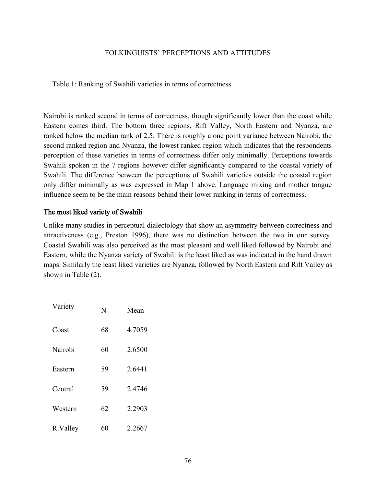Table 1: Ranking of Swahili varieties in terms of correctness

Nairobi is ranked second in terms of correctness, though significantly lower than the coast while Eastern comes third. The bottom three regions, Rift Valley, North Eastern and Nyanza, are ranked below the median rank of 2.5. There is roughly a one point variance between Nairobi, the second ranked region and Nyanza, the lowest ranked region which indicates that the respondents perception of these varieties in terms of correctness differ only minimally. Perceptions towards Swahili spoken in the 7 regions however differ significantly compared to the coastal variety of Swahili. The difference between the perceptions of Swahili varieties outside the coastal region only differ minimally as was expressed in Map 1 above. Language mixing and mother tongue influence seem to be the main reasons behind their lower ranking in terms of correctness.

# The most liked variety of Swahili

Unlike many studies in perceptual dialectology that show an asymmetry between correctness and attractiveness (e.g., Preston 1996), there was no distinction between the two in our survey. Coastal Swahili was also perceived as the most pleasant and well liked followed by Nairobi and Eastern, while the Nyanza variety of Swahili is the least liked as was indicated in the hand drawn maps. Similarly the least liked varieties are Nyanza, followed by North Eastern and Rift Valley as shown in Table (2).

| Variety  | N  | Mean   |
|----------|----|--------|
| Coast    | 68 | 4.7059 |
| Nairobi  | 60 | 2.6500 |
| Eastern  | 59 | 2.6441 |
| Central  | 59 | 2.4746 |
| Western  | 62 | 2.2903 |
| R.Valley | 60 | 2.2667 |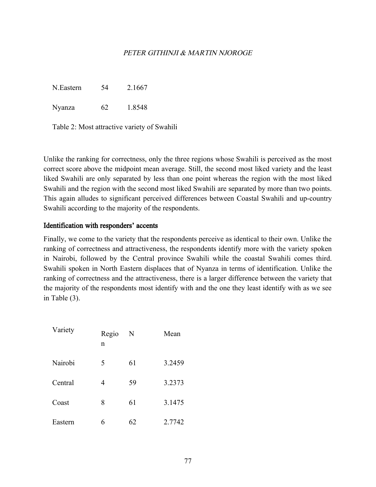N.Eastern 54 2.1667

Nyanza 62 1.8548

Table 2: Most attractive variety of Swahili

Unlike the ranking for correctness, only the three regions whose Swahili is perceived as the most correct score above the midpoint mean average. Still, the second most liked variety and the least liked Swahili are only separated by less than one point whereas the region with the most liked Swahili and the region with the second most liked Swahili are separated by more than two points. This again alludes to significant perceived differences between Coastal Swahili and up-country Swahili according to the majority of the respondents.

# Identification with responders' accents

Finally, we come to the variety that the respondents perceive as identical to their own. Unlike the ranking of correctness and attractiveness, the respondents identify more with the variety spoken in Nairobi, followed by the Central province Swahili while the coastal Swahili comes third. Swahili spoken in North Eastern displaces that of Nyanza in terms of identification. Unlike the ranking of correctness and the attractiveness, there is a larger difference between the variety that the majority of the respondents most identify with and the one they least identify with as we see in Table (3).

| Variety | Regio<br>n | N  | Mean   |
|---------|------------|----|--------|
| Nairobi | 5          | 61 | 3.2459 |
| Central | 4          | 59 | 3.2373 |
| Coast   | 8          | 61 | 3.1475 |
| Eastern | 6          | 62 | 2.7742 |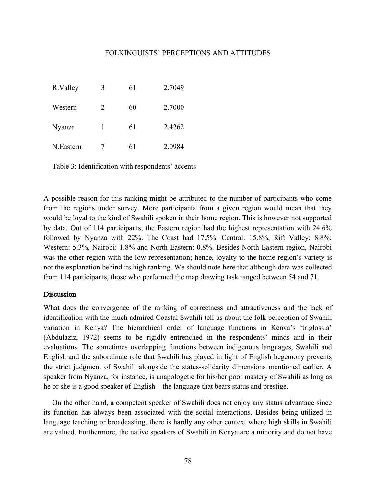| R.Valley  | 3 | 61 | 2.7049 |
|-----------|---|----|--------|
| Western   | 2 | 60 | 2.7000 |
| Nyanza    | 1 | 61 | 2.4262 |
| N.Eastern |   | 61 | 2.0984 |

Table 3: Identification with respondents' accents

A possible reason for this ranking might be attributed to the number of participants who come from the regions under survey. More participants from a given region would mean that they would be loyal to the kind of Swahili spoken in their home region. This is however not supported by data. Out of 114 participants, the Eastern region had the highest representation with 24.6% followed by Nyanza with 22%. The Coast had 17.5%, Central: 15.8%, Rift Valley: 8.8%; Western: 5.3%, Nairobi: 1.8% and North Eastern: 0.8%. Besides North Eastern region, Nairobi was the other region with the low representation; hence, loyalty to the home region's variety is not the explanation behind its high ranking. We should note here that although data was collected from 114 participants, those who performed the map drawing task ranged between 54 and 71.

### Discussion

What does the convergence of the ranking of correctness and attractiveness and the lack of identification with the much admired Coastal Swahili tell us about the folk perception of Swahili variation in Kenya? The hierarchical order of language functions in Kenya's 'triglossia' (Abdulaziz, 1972) seems to be rigidly entrenched in the respondents' minds and in their evaluations. The sometimes overlapping functions between indigenous languages, Swahili and English and the subordinate role that Swahili has played in light of English hegemony prevents the strict judgment of Swahili alongside the status-solidarity dimensions mentioned earlier. A speaker from Nyanza, for instance, is unapologetic for his/her poor mastery of Swahili as long as he or she is a good speaker of English—the language that bears status and prestige.

On the other hand, a competent speaker of Swahili does not enjoy any status advantage since its function has always been associated with the social interactions. Besides being utilized in language teaching or broadcasting, there is hardly any other context where high skills in Swahili are valued. Furthermore, the native speakers of Swahili in Kenya are a minority and do not have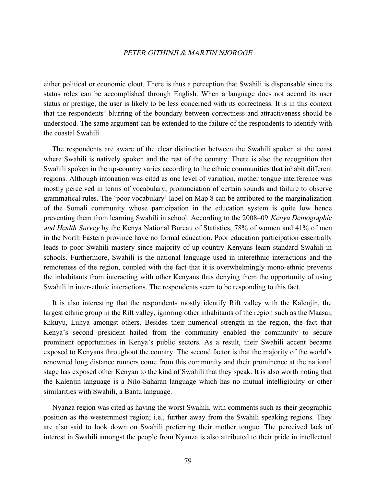either political or economic clout. There is thus a perception that Swahili is dispensable since its status roles can be accomplished through English. When a language does not accord its user status or prestige, the user is likely to be less concerned with its correctness. It is in this context that the respondents' blurring of the boundary between correctness and attractiveness should be understood. The same argument can be extended to the failure of the respondents to identify with the coastal Swahili.

The respondents are aware of the clear distinction between the Swahili spoken at the coast where Swahili is natively spoken and the rest of the country. There is also the recognition that Swahili spoken in the up-country varies according to the ethnic communities that inhabit different regions. Although intonation was cited as one level of variation, mother tongue interference was mostly perceived in terms of vocabulary, pronunciation of certain sounds and failure to observe grammatical rules. The 'poor vocabulary' label on Map 8 can be attributed to the marginalization of the Somali community whose participation in the education system is quite low hence preventing them from learning Swahili in school. According to the 2008–09 Kenya Demographic and Health Survey by the Kenya National Bureau of Statistics, 78% of women and 41% of men in the North Eastern province have no formal education. Poor education participation essentially leads to poor Swahili mastery since majority of up-country Kenyans learn standard Swahili in schools. Furthermore, Swahili is the national language used in interethnic interactions and the remoteness of the region, coupled with the fact that it is overwhelmingly mono-ethnic prevents the inhabitants from interacting with other Kenyans thus denying them the opportunity of using Swahili in inter-ethnic interactions. The respondents seem to be responding to this fact.

It is also interesting that the respondents mostly identify Rift valley with the Kalenjin, the largest ethnic group in the Rift valley, ignoring other inhabitants of the region such as the Maasai, Kikuyu, Luhya amongst others. Besides their numerical strength in the region, the fact that Kenya's second president hailed from the community enabled the community to secure prominent opportunities in Kenya's public sectors. As a result, their Swahili accent became exposed to Kenyans throughout the country. The second factor is that the majority of the world's renowned long distance runners come from this community and their prominence at the national stage has exposed other Kenyan to the kind of Swahili that they speak. It is also worth noting that the Kalenjin language is a Nilo-Saharan language which has no mutual intelligibility or other similarities with Swahili, a Bantu language.

Nyanza region was cited as having the worst Swahili, with comments such as their geographic position as the westernmost region; i.e., further away from the Swahili speaking regions. They are also said to look down on Swahili preferring their mother tongue. The perceived lack of interest in Swahili amongst the people from Nyanza is also attributed to their pride in intellectual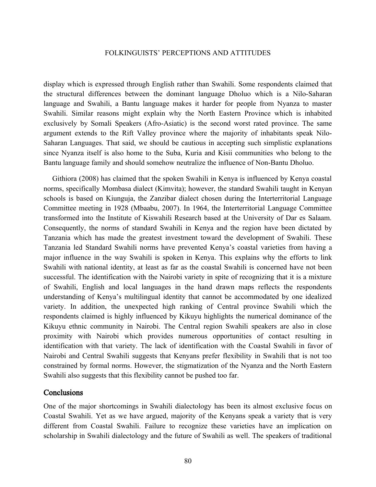display which is expressed through English rather than Swahili. Some respondents claimed that the structural differences between the dominant language Dholuo which is a Nilo-Saharan language and Swahili, a Bantu language makes it harder for people from Nyanza to master Swahili. Similar reasons might explain why the North Eastern Province which is inhabited exclusively by Somali Speakers (Afro-Asiatic) is the second worst rated province. The same argument extends to the Rift Valley province where the majority of inhabitants speak Nilo-Saharan Languages. That said, we should be cautious in accepting such simplistic explanations since Nyanza itself is also home to the Suba, Kuria and Kisii communities who belong to the Bantu language family and should somehow neutralize the influence of Non-Bantu Dholuo.

Githiora (2008) has claimed that the spoken Swahili in Kenya is influenced by Kenya coastal norms, specifically Mombasa dialect (Kimvita); however, the standard Swahili taught in Kenyan schools is based on Kiunguja, the Zanzibar dialect chosen during the Interterritorial Language Committee meeting in 1928 (Mbaabu, 2007). In 1964, the Interterritorial Language Committee transformed into the Institute of Kiswahili Research based at the University of Dar es Salaam. Consequently, the norms of standard Swahili in Kenya and the region have been dictated by Tanzania which has made the greatest investment toward the development of Swahili. These Tanzania led Standard Swahili norms have prevented Kenya's coastal varieties from having a major influence in the way Swahili is spoken in Kenya. This explains why the efforts to link Swahili with national identity, at least as far as the coastal Swahili is concerned have not been successful. The identification with the Nairobi variety in spite of recognizing that it is a mixture of Swahili, English and local languages in the hand drawn maps reflects the respondents understanding of Kenya's multilingual identity that cannot be accommodated by one idealized variety. In addition, the unexpected high ranking of Central province Swahili which the respondents claimed is highly influenced by Kikuyu highlights the numerical dominance of the Kikuyu ethnic community in Nairobi. The Central region Swahili speakers are also in close proximity with Nairobi which provides numerous opportunities of contact resulting in identification with that variety. The lack of identification with the Coastal Swahili in favor of Nairobi and Central Swahili suggests that Kenyans prefer flexibility in Swahili that is not too constrained by formal norms. However, the stigmatization of the Nyanza and the North Eastern Swahili also suggests that this flexibility cannot be pushed too far.

# **Conclusions**

One of the major shortcomings in Swahili dialectology has been its almost exclusive focus on Coastal Swahili. Yet as we have argued, majority of the Kenyans speak a variety that is very different from Coastal Swahili. Failure to recognize these varieties have an implication on scholarship in Swahili dialectology and the future of Swahili as well. The speakers of traditional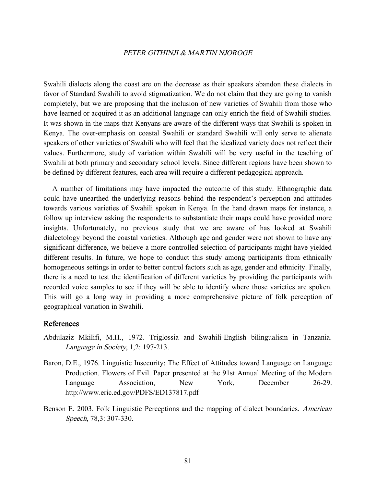Swahili dialects along the coast are on the decrease as their speakers abandon these dialects in favor of Standard Swahili to avoid stigmatization. We do not claim that they are going to vanish completely, but we are proposing that the inclusion of new varieties of Swahili from those who have learned or acquired it as an additional language can only enrich the field of Swahili studies. It was shown in the maps that Kenyans are aware of the different ways that Swahili is spoken in Kenya. The over-emphasis on coastal Swahili or standard Swahili will only serve to alienate speakers of other varieties of Swahili who will feel that the idealized variety does not reflect their values. Furthermore, study of variation within Swahili will be very useful in the teaching of Swahili at both primary and secondary school levels. Since different regions have been shown to be defined by different features, each area will require a different pedagogical approach.

A number of limitations may have impacted the outcome of this study. Ethnographic data could have unearthed the underlying reasons behind the respondent's perception and attitudes towards various varieties of Swahili spoken in Kenya. In the hand drawn maps for instance, a follow up interview asking the respondents to substantiate their maps could have provided more insights. Unfortunately, no previous study that we are aware of has looked at Swahili dialectology beyond the coastal varieties. Although age and gender were not shown to have any significant difference, we believe a more controlled selection of participants might have yielded different results. In future, we hope to conduct this study among participants from ethnically homogeneous settings in order to better control factors such as age, gender and ethnicity. Finally, there is a need to test the identification of different varieties by providing the participants with recorded voice samples to see if they will be able to identify where those varieties are spoken. This will go a long way in providing a more comprehensive picture of folk perception of geographical variation in Swahili.

### References

- Abdulaziz Mkilifi, M.H., 1972. Triglossia and Swahili-English bilingualism in Tanzania. Language in Society, 1,2: 197-213.
- Baron, D.E., 1976. Linguistic Insecurity: The Effect of Attitudes toward Language on Language Production. Flowers of Evil. Paper presented at the 91st Annual Meeting of the Modern Language Association, New York, December 26-29. http://www.eric.ed.gov/PDFS/ED137817.pdf
- Benson E. 2003. Folk Linguistic Perceptions and the mapping of dialect boundaries. American Speech, 78,3: 307-330.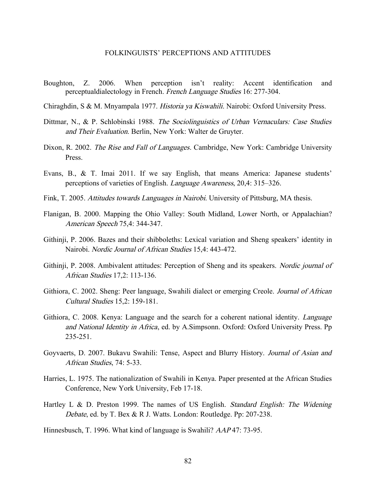- Boughton, Z. 2006. When perception isn't reality: Accent identification and perceptualdialectology in French. French Language Studies 16: 277-304.
- Chiraghdin, S & M. Mnyampala 1977. Historia ya Kiswahili. Nairobi: Oxford University Press.
- Dittmar, N., & P. Schlobinski 1988. The Sociolinguistics of Urban Vernaculars: Case Studies and Their Evaluation. Berlin, New York: Walter de Gruyter.
- Dixon, R. 2002. The Rise and Fall of Languages. Cambridge, New York: Cambridge University Press.
- Evans, B., & T. Imai 2011. If we say English, that means America: Japanese students' perceptions of varieties of English. Language Awareness, 20,4: 315–326.
- Fink, T. 2005. Attitudes towards Languages in Nairobi. University of Pittsburg, MA thesis.
- Flanigan, B. 2000. Mapping the Ohio Valley: South Midland, Lower North, or Appalachian? American Speech 75,4: 344-347.
- Githinji, P. 2006. Bazes and their shibboleths: Lexical variation and Sheng speakers' identity in Nairobi. Nordic Journal of African Studies 15,4: 443-472.
- Githinji, P. 2008. Ambivalent attitudes: Perception of Sheng and its speakers. Nordic journal of African Studies 17,2: 113-136.
- Githiora, C. 2002. Sheng: Peer language, Swahili dialect or emerging Creole. Journal of African Cultural Studies 15,2: 159-181.
- Githiora, C. 2008. Kenya: Language and the search for a coherent national identity. Language and National Identity in Africa, ed. by A.Simpsonn. Oxford: Oxford University Press. Pp 235-251.
- Goyvaerts, D. 2007. Bukavu Swahili: Tense, Aspect and Blurry History. Journal of Asian and African Studies, 74: 5-33.
- Harries, L. 1975. The nationalization of Swahili in Kenya. Paper presented at the African Studies Conference, New York University, Feb 17-18.
- Hartley L & D. Preston 1999. The names of US English. Standard English: The Widening Debate, ed. by T. Bex & R J. Watts. London: Routledge. Pp: 207-238.
- Hinnesbusch, T. 1996. What kind of language is Swahili? AAP 47: 73-95.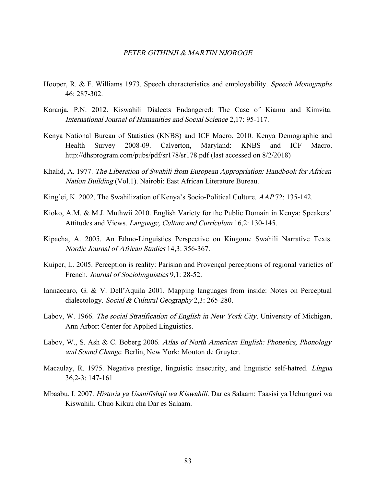- Hooper, R. & F. Williams 1973. Speech characteristics and employability. Speech Monographs 46: 287-302.
- Karanja, P.N. 2012. Kiswahili Dialects Endangered: The Case of Kiamu and Kimvita. International Journal of Humanities and Social Science 2,17: 95-117.
- Kenya National Bureau of Statistics (KNBS) and ICF Macro. 2010. Kenya Demographic and Health Survey 2008-09. Calverton, Maryland: KNBS and ICF Macro. <http://dhsprogram.com/pubs/pdf/sr178/sr178.pdf>(last accessed on 8/2/2018)
- Khalid, A. 1977. The Liberation of Swahili from European Appropriation: Handbook for African Nation Building (Vol.1). Nairobi: East African Literature Bureau.
- King'ei, K. 2002. The Swahilization of Kenya's Socio-Political Culture. AAP 72: 135-142.
- Kioko, A.M. & M.J. Muthwii 2010. English Variety for the Public Domain in Kenya: Speakers' Attitudes and Views. Language, Culture and Curriculum 16,2: 130-145.
- Kipacha, A. 2005. An Ethno-Linguistics Perspective on Kingome Swahili Narrative Texts. Nordic Journal of African Studies 14,3: 356-367.
- Kuiper, L. 2005. Perception is reality: Parisian and Provençal perceptions of regional varieties of French. Journal of Sociolinguistics 9,1: 28-52.
- Iannaccaro, G. & V. Dell'Aquila 2001. Mapping languages from inside: Notes on Perceptual dialectology. Social & Cultural Geography 2,3: 265-280.
- Labov, W. 1966. The social Stratification of English in New York City. University of Michigan, Ann Arbor: Center for Applied Linguistics.
- Labov, W., S. Ash & C. Boberg 2006. Atlas of North American English: Phonetics, Phonology and Sound Change. Berlin, New York: Mouton de Gruyter.
- Macaulay, R. 1975. Negative prestige, linguistic insecurity, and linguistic self-hatred. *Lingua* 36,2-3: 147-161
- Mbaabu, I. 2007. Historia ya Usanifishaji wa Kiswahili. Dar es Salaam: Taasisi ya Uchunguzi wa Kiswahili. Chuo Kikuu cha Dar es Salaam.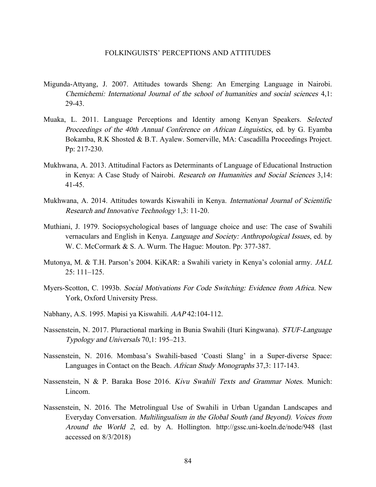- Migunda-Attyang, J. 2007. Attitudes towards Sheng: An Emerging Language in Nairobi. Chemichemi: International Journal of the school of humanities and social sciences 4,1: 29-43.
- Muaka, L. 2011. Language Perceptions and Identity among Kenyan Speakers. Selected Proceedings of the 40th Annual Conference on African Linguistics, ed. by G. Eyamba Bokamba, R.K Shosted & B.T. Ayalew. Somerville, MA: Cascadilla Proceedings Project. Pp: 217-230.
- Mukhwana, A. 2013. Attitudinal Factors as Determinants of Language of Educational Instruction in Kenya: A Case Study of Nairobi. Research on Humanities and Social Sciences 3,14: 41-45.
- Mukhwana, A. 2014. Attitudes towards Kiswahili in Kenya. International Journal of Scientific Research and Innovative Technology 1,3: 11-20.
- Muthiani, J. 1979. Sociopsychological bases of language choice and use: The case of Swahili vernaculars and English in Kenya. Language and Society: Anthropological Issues, ed. by W. C. McCormark & S. A. Wurm. The Hague: Mouton. Pp: 377-387.
- Mutonya, M. & T.H. Parson's 2004. KiKAR: a Swahili variety in Kenya's colonial army. *JALL* 25: 111–125.
- Myers-Scotton, C. 1993b. Social Motivations For Code Switching: Evidence from Africa. New York, Oxford University Press.
- Nabhany, A.S. 1995. Mapisi ya Kiswahili. AAP 42:104-112.
- Nassenstein, N. 2017. Pluractional marking in Bunia Swahili (Ituri Kingwana). STUF-Language Typology and Universals 70,1: 195–213.
- Nassenstein, N. 2016. Mombasa's Swahili-based 'Coasti Slang' in a Super-diverse Space: Languages in Contact on the Beach. African Study Monographs 37,3: 117-143.
- Nassenstein, N & P. Baraka Bose 2016. Kivu Swahili Texts and Grammar Notes. Munich: Lincom.
- Nassenstein, N. 2016. The Metrolingual Use of Swahili in Urban Ugandan Landscapes and Everyday Conversation. Multilingualism in the Global South (and Beyond). Voices from Around the World <sup>2</sup>, ed. by A. Hollington.<http://gssc.uni-koeln.de/node/948>(last accessed on 8/3/2018)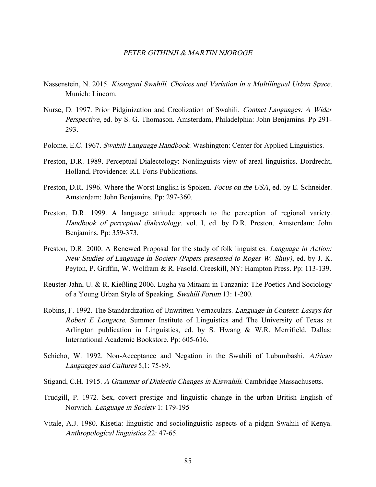- Nassenstein, N. 2015. Kisangani Swahili. Choices and Variation in a Multilingual Urban Space. Munich: Lincom.
- Nurse, D. 1997. Prior Pidginization and Creolization of Swahili. Contact Languages: A Wider Perspective, ed. by S. G. Thomason. Amsterdam, Philadelphia: John Benjamins. Pp 291- 293.
- Polome, E.C. 1967. Swahili Language Handbook. Washington: Center for Applied Linguistics.
- Preston, D.R. 1989. Perceptual Dialectology: Nonlinguists view of areal linguistics. Dordrecht, Holland, Providence: R.I. Foris Publications.
- Preston, D.R. 1996. Where the Worst English is Spoken. *Focus on the USA*, ed. by E. Schneider. Amsterdam: John Benjamins. Pp: 297-360.
- Preston, D.R. 1999. A language attitude approach to the perception of regional variety. Handbook of perceptual dialectology. vol. I, ed. by D.R. Preston. Amsterdam: John Benjamins. Pp: 359-373.
- Preston, D.R. 2000. A Renewed Proposal for the study of folk linguistics. *Language in Action*: New Studies of Language in Society (Papers presented to Roger W. Shuy), ed. by J. K. Peyton, P. Griffin, W. Wolfram & R. Fasold. Creeskill, NY: Hampton Press. Pp: 113-139.
- Reuster-Jahn, U. & R. Kießling 2006. Lugha ya Mitaani in Tanzania: The Poetics And Sociology of a Young Urban Style of Speaking. Swahili Forum 13: 1-200.
- Robins, F. 1992. The Standardization of Unwritten Vernaculars. *Language in Context: Essays for* Robert E Longacre. Summer Institute of Linguistics and The University of Texas at Arlington publication in Linguistics, ed. by S. Hwang & W.R. Merrifield. Dallas: International Academic Bookstore. Pp: 605-616.
- Schicho, W. 1992. Non-Acceptance and Negation in the Swahili of Lubumbashi. African Languages and Cultures 5,1: 75-89.
- Stigand, C.H. 1915. A Grammar of Dialectic Changes in Kiswahili. Cambridge Massachusetts.
- Trudgill, P. 1972. Sex, covert prestige and linguistic change in the urban British English of Norwich. Language in Society 1: 179-195
- Vitale, A.J. 1980. Kisetla: linguistic and sociolinguistic aspects of a pidgin Swahili of Kenya. Anthropological linguistics 22: 47-65.